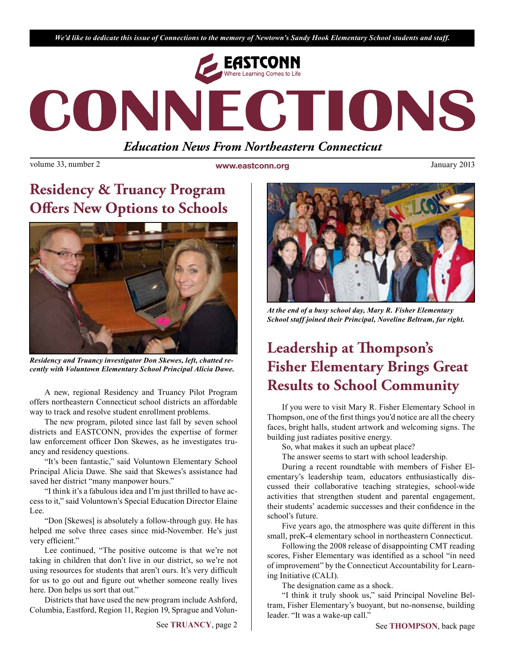*We'd like to dedicate this issue of Connections to the memory of Newtown's Sandy Hook Elementary School students and staff.*



# CONNECTIONS *Education News From Northeastern Connecticut*

volume 33, number 2 **www.eastconn.org** January 2013

# **Residency & Truancy Program Offers New Options to Schools**



*Residency and Truancy investigator Don Skewes, left, chatted recently with Voluntown Elementary School Principal Alicia Dawe.*

A new, regional Residency and Truancy Pilot Program offers northeastern Connecticut school districts an affordable way to track and resolve student enrollment problems.

The new program, piloted since last fall by seven school districts and EASTCONN, provides the expertise of former law enforcement officer Don Skewes, as he investigates truancy and residency questions.

"It's been fantastic," said Voluntown Elementary School Principal Alicia Dawe. She said that Skewes's assistance had saved her district "many manpower hours."

"I think it's a fabulous idea and I'm just thrilled to have access to it," said Voluntown's Special Education Director Elaine Lee.

"Don [Skewes] is absolutely a follow-through guy. He has helped me solve three cases since mid-November. He's just very efficient."

Lee continued, "The positive outcome is that we're not taking in children that don't live in our district, so we're not using resources for students that aren't ours. It's very difficult for us to go out and fgure out whether someone really lives here. Don helps us sort that out."

Districts that have used the new program include Ashford, Columbia, Eastford, Region 11, Region 19, Sprague and Volun-



*At the end of a busy school day, Mary R. Fisher Elementary School staff joined their Principal, Noveline Beltram, far right.*

# **Leadership at !ompson's Fisher Elementary Brings Great Results to School Community**

If you were to visit Mary R. Fisher Elementary School in Thompson, one of the frst things you'd notice are all the cheery faces, bright halls, student artwork and welcoming signs. The building just radiates positive energy.

So, what makes it such an upbeat place?

The answer seems to start with school leadership.

During a recent roundtable with members of Fisher Elementary's leadership team, educators enthusiastically discussed their collaborative teaching strategies, school-wide activities that strengthen student and parental engagement, their students' academic successes and their confdence in the school's future.

Five years ago, the atmosphere was quite different in this small, preK-4 elementary school in northeastern Connecticut.

Following the 2008 release of disappointing CMT reading scores, Fisher Elementary was identifed as a school "in need of improvement" by the Connecticut Accountability for Learning Initiative (CALI).

The designation came as a shock.

"I think it truly shook us," said Principal Noveline Beltram, Fisher Elementary's buoyant, but no-nonsense, building leader. "It was a wake-up call."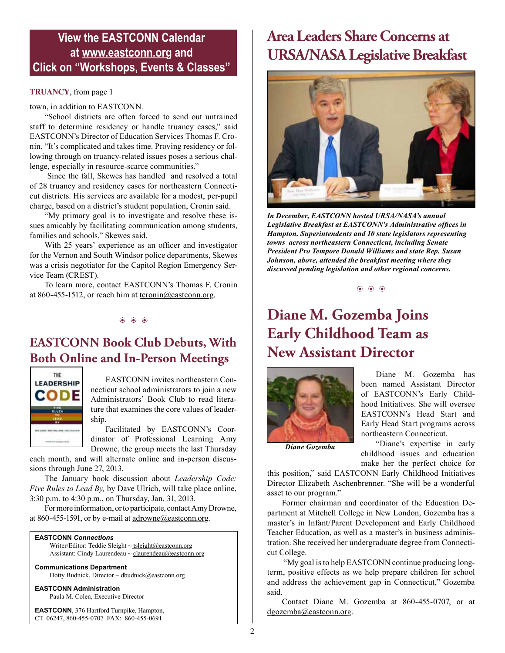### **View the EASTCONN Calendar at <www.eastconn.org> and Click on "Workshops, Events & Classes"**

#### **TRUANCY**, from page 1

town, in addition to EASTCONN.

"School districts are often forced to send out untrained staff to determine residency or handle truancy cases," said EASTCONN's Director of Education Services Thomas F. Cronin. "It's complicated and takes time. Proving residency or following through on truancy-related issues poses a serious challenge, especially in resource-scarce communities."

 Since the fall, Skewes has handled and resolved a total of 28 truancy and residency cases for northeastern Connecticut districts. His services are available for a modest, per-pupil charge, based on a district's student population, Cronin said.

"My primary goal is to investigate and resolve these issues amicably by facilitating communication among students, families and schools," Skewes said.

With 25 years' experience as an officer and investigator for the Vernon and South Windsor police departments, Skewes was a crisis negotiator for the Capitol Region Emergency Service Team (CREST).

To learn more, contact EASTCONN's Thomas F. Cronin at 860-455-1512, or reach him at  $\underline{t}$  tronin@eastconn.org.

#### $\circledast$   $\circledast$   $\circledast$

### **EASTCONN Book Club Debuts, With Both Online and In-Person Meetings**



EASTCONN invites northeastern Connecticut school administrators to join a new Administrators' Book Club to read literature that examines the core values of leadership.

Facilitated by EASTCONN's Coordinator of Professional Learning Amy Drowne, the group meets the last Thursday

each month, and will alternate online and in-person discussions through June 27, 2013.

The January book discussion about *Leadership Code: Five Rules to Lead By,* by Dave Ulrich, will take place online, 3:30 p.m. to 4:30 p.m., on Thursday, Jan. 31, 2013.

For more information, or to participate, contact Amy Drowne, at 860-455-1591, or by e-mail at adrowne@eastconn.org.

#### **EASTCONN** *Connections*

Writer/Editor: Teddie Sleight ~ tsleigh[t@eastconn.org](mailto:tsleight@eastconn.org) Assistant: Cindy Laurendeau ~ [claurendeau@eastconn.org](mailto:claurendeau@eastconn.org)

#### **[Communications Department](%20mailto:connections@eastconn.org)**

[Dotty Budnick,](mailto:dbudnick@eastconn.org) Director ~ [dbudnick@eastconn.org](http://mailto:dbudnick@eastconn.org)

#### **EASTCONN Administration**

Paula M. Colen, Executive Director

**EASTCONN**, 376 Hartford Turnpike, Hampton, CT 06247, 860-455-0707 FAX: 860-455-0691

## **Area Leaders Share Concerns at URSA/NASA Legislative Breakfast**



*In December, EASTCONN hosted URSA/NASA's annual Legislative Breakfast at EASTCONN's Administrative offces in Hampton. Superintendents and 10 state legislators representing towns across northeastern Connecticut, including Senate President Pro Tempore Donald Williams and state Rep. Susan Johnson, above, attended the breakfast meeting where they discussed pending legislation and other regional concerns.*

 $\circledast$   $\circledast$   $\circledast$ 

# **Diane M. Gozemba Joins Early Childhood Team as New Assistant Director**



Diane M. Gozemba has been named Assistant Director of EASTCONN's Early Childhood Initiatives. She will oversee EASTCONN's Head Start and Early Head Start programs across northeastern Connecticut.

*Diane Gozemba*

"Diane's expertise in early childhood issues and education make her the perfect choice for

this position," said EASTCONN Early Childhood Initiatives Director Elizabeth Aschenbrenner. "She will be a wonderful asset to our program."

Former chairman and coordinator of the Education Department at Mitchell College in New London, Gozemba has a master's in Infant/Parent Development and Early Childhood Teacher Education, as well as a master's in business administration. She received her undergraduate degree from Connecticut College.

 "My goal is to help EASTCONN continue producing longterm, positive effects as we help prepare children for school and address the achievement gap in Connecticut," Gozemba said.

Contact Diane M. Gozemba at 860-455-0707, or at dgozemba@eastconn.org.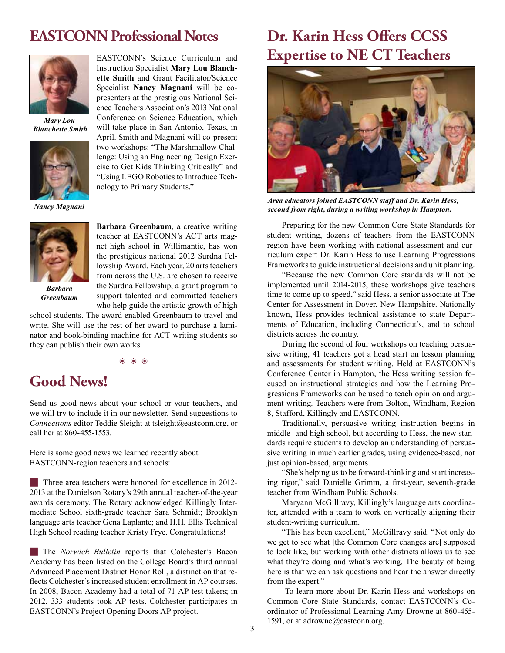### **EASTCONN Professional Notes**



*Mary Lou Blanchette Smith*



*Nancy Magnani*



*Barbara Greenbaum*

EASTCONN's Science Curriculum and Instruction Specialist **Mary Lou Blanchette Smith** and Grant Facilitator/Science Specialist **Nancy Magnani** will be copresenters at the prestigious National Science Teachers Association's 2013 National Conference on Science Education, which will take place in San Antonio, Texas, in April. Smith and Magnani will co-present two workshops: "The Marshmallow Challenge: Using an Engineering Design Exercise to Get Kids Thinking Critically" and "Using LEGO Robotics to Introduce Technology to Primary Students."

**Barbara Greenbaum**, a creative writing teacher at EASTCONN's ACT arts magnet high school in Willimantic, has won the prestigious national 2012 Surdna Fellowship Award. Each year, 20 arts teachers from across the U.S. are chosen to receive the Surdna Fellowship, a grant program to support talented and committed teachers who help guide the artistic growth of high

school students. The award enabled Greenbaum to travel and write. She will use the rest of her award to purchase a laminator and book-binding machine for ACT writing students so they can publish their own works.

 $\circledast$   $\circledast$   $\circledast$ 

### **Good News!**

Send us good news about your school or your teachers, and we will try to include it in our newsletter. Send suggestions to *Connections* editor Teddie Sleight at tsleight@eastconn.org, or call her at 860-455-1553.

Here is some good news we learned recently about EASTCONN-region teachers and schools:

**Three area teachers were honored for excellence in 2012-**2013 at the Danielson Rotary's 29th annual teacher-of-the-year awards ceremony. The Rotary acknowledged Killingly Intermediate School sixth-grade teacher Sara Schmidt; Brooklyn language arts teacher Gena Laplante; and H.H. Ellis Technical High School reading teacher Kristy Frye. Congratulations!

**The** *Norwich Bulletin* reports that Colchester's Bacon Academy has been listed on the College Board's third annual Advanced Placement District Honor Roll, a distinction that refects Colchester's increased student enrollment in AP courses. In 2008, Bacon Academy had a total of 71 AP test-takers; in 2012, 333 students took AP tests. Colchester participates in EASTCONN's Project Opening Doors AP project.

## **Dr. Karin Hess Offers CCSS Expertise to NE CT Teachers**



*Area educators joined EASTCONN staff and Dr. Karin Hess, second from right, during a writing workshop in Hampton.*

Preparing for the new Common Core State Standards for student writing, dozens of teachers from the EASTCONN region have been working with national assessment and curriculum expert Dr. Karin Hess to use Learning Progressions Frameworks to guide instructional decisions and unit planning.

"Because the new Common Core standards will not be implemented until 2014-2015, these workshops give teachers time to come up to speed," said Hess, a senior associate at The Center for Assessment in Dover, New Hampshire. Nationally known, Hess provides technical assistance to state Departments of Education, including Connecticut's, and to school districts across the country.

During the second of four workshops on teaching persuasive writing, 41 teachers got a head start on lesson planning and assessments for student writing. Held at EASTCONN's Conference Center in Hampton, the Hess writing session focused on instructional strategies and how the Learning Progressions Frameworks can be used to teach opinion and argument writing. Teachers were from Bolton, Windham, Region 8, Stafford, Killingly and EASTCONN.

Traditionally, persuasive writing instruction begins in middle- and high school, but according to Hess, the new standards require students to develop an understanding of persuasive writing in much earlier grades, using evidence-based, not just opinion-based, arguments.

"She's helping us to be forward-thinking and start increasing rigor," said Danielle Grimm, a frst-year, seventh-grade teacher from Windham Public Schools.

Maryann McGillravy, Killingly's language arts coordinator, attended with a team to work on vertically aligning their student-writing curriculum.

"This has been excellent," McGillravy said. "Not only do we get to see what [the Common Core changes are] supposed to look like, but working with other districts allows us to see what they're doing and what's working. The beauty of being here is that we can ask questions and hear the answer directly from the expert."

 To learn more about Dr. Karin Hess and workshops on Common Core State Standards, contact EASTCONN's Coordinator of Professional Learning Amy Drowne at 860-455- 1591, or at adrowne@eastconn.org.